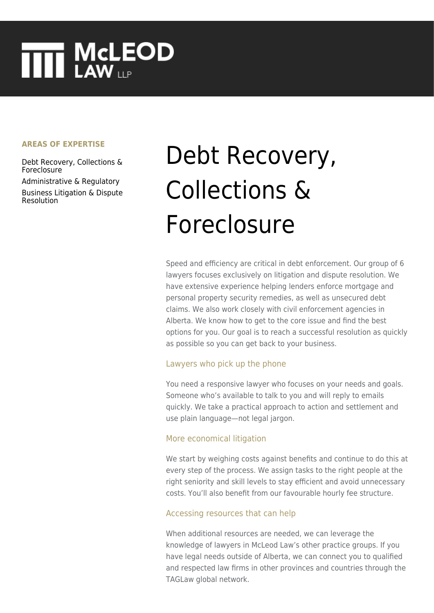# **THE MCLEOD**

#### **AREAS OF EXPERTISE**

[Debt Recovery, Collections &](https://www.mcleod-law.com/services/business/business-litigation-and-dispute-resolution/debt-recovery-collections-and-foreclosure/) [Foreclosure](https://www.mcleod-law.com/services/business/business-litigation-and-dispute-resolution/debt-recovery-collections-and-foreclosure/)

[Administrative & Regulatory](https://www.mcleod-law.com/services/business/business-litigation-and-dispute-resolution/administrative-and-regulatory/) [Business Litigation & Dispute](https://www.mcleod-law.com/services/business/business-litigation-and-dispute-resolution/) [Resolution](https://www.mcleod-law.com/services/business/business-litigation-and-dispute-resolution/)

## Debt Recovery, Collections & Foreclosure

Speed and efficiency are critical in debt enforcement. Our group of 6 lawyers focuses exclusively on litigation and dispute resolution. We have extensive experience helping lenders enforce mortgage and personal property security remedies, as well as unsecured debt claims. We also work closely with civil enforcement agencies in Alberta. We know how to get to the core issue and find the best options for you. Our goal is to reach a successful resolution as quickly as possible so you can get back to your business.

#### Lawyers who pick up the phone

You need a responsive lawyer who focuses on your needs and goals. Someone who's available to talk to you and will reply to emails quickly. We take a practical approach to action and settlement and use plain language—not legal jargon.

#### More economical litigation

We start by weighing costs against benefits and continue to do this at every step of the process. We assign tasks to the right people at the right seniority and skill levels to stay efficient and avoid unnecessary costs. You'll also benefit from our favourable hourly fee structure.

#### Accessing resources that can help

When additional resources are needed, we can leverage the knowledge of lawyers in McLeod Law's other practice groups. If you have legal needs outside of Alberta, we can connect you to qualified and respected law firms in other provinces and countries through the TAGLaw global network.